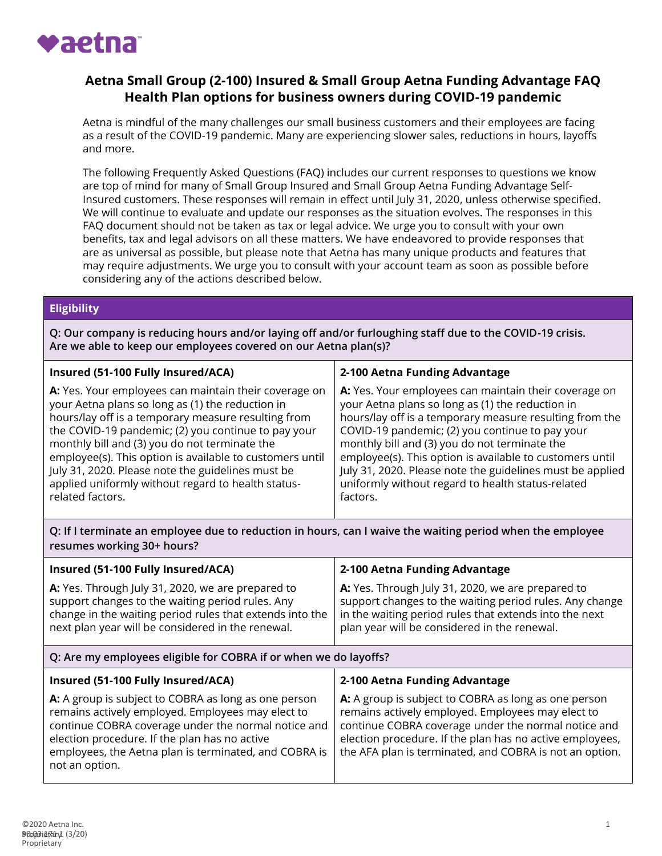

# **Aetna Small Group (2-100) Insured & Small Group Aetna Funding Advantage FAQ Health Plan options for business owners during COVID-19 pandemic**

Aetna is mindful of the many challenges our small business customers and their employees are facing as a result of the COVID-19 pandemic. Many are experiencing slower sales, reductions in hours, layoffs and more.

The following Frequently Asked Questions (FAQ) includes our current responses to questions we know are top of mind for many of Small Group Insured and Small Group Aetna Funding Advantage Self-Insured customers. These responses will remain in effect until July 31, 2020, unless otherwise specified. We will continue to evaluate and update our responses as the situation evolves. The responses in this FAQ document should not be taken as tax or legal advice. We urge you to consult with your own benefits, tax and legal advisors on all these matters. We have endeavored to provide responses that are as universal as possible, but please note that Aetna has many unique products and features that may require adjustments. We urge you to consult with your account team as soon as possible before considering any of the actions described below.

### **Eligibility**

**Q: Our company is reducing hours and/or laying off and/or furloughing staff due to the COVID-19 crisis. Are we able to keep our employees covered on our Aetna plan(s)?**

| Insured (51-100 Fully Insured/ACA)                       | 2-100 Aetna Funding Advantage                             |
|----------------------------------------------------------|-----------------------------------------------------------|
| A: Yes. Your employees can maintain their coverage on    | A: Yes. Your employees can maintain their coverage on     |
| your Aetna plans so long as (1) the reduction in         | your Aetna plans so long as (1) the reduction in          |
| hours/lay off is a temporary measure resulting from      | hours/lay off is a temporary measure resulting from the   |
| the COVID-19 pandemic; (2) you continue to pay your      | COVID-19 pandemic; (2) you continue to pay your           |
| monthly bill and (3) you do not terminate the            | monthly bill and (3) you do not terminate the             |
| employee(s). This option is available to customers until | employee(s). This option is available to customers until  |
| July 31, 2020. Please note the guidelines must be        | July 31, 2020. Please note the guidelines must be applied |
| applied uniformly without regard to health status-       | uniformly without regard to health status-related         |
| related factors.                                         | factors.                                                  |

**Q: If I terminate an employee due to reduction in hours, can I waive the waiting period when the employee resumes working 30+ hours?**

| Insured (51-100 Fully Insured/ACA)<br>A: Yes. Through July 31, 2020, we are prepared to<br>support changes to the waiting period rules. Any<br>change in the waiting period rules that extends into the<br>next plan year will be considered in the renewal.                                 | 2-100 Aetna Funding Advantage<br>A: Yes. Through July 31, 2020, we are prepared to<br>support changes to the waiting period rules. Any change<br>in the waiting period rules that extends into the next<br>plan year will be considered in the renewal.                                 |  |
|----------------------------------------------------------------------------------------------------------------------------------------------------------------------------------------------------------------------------------------------------------------------------------------------|-----------------------------------------------------------------------------------------------------------------------------------------------------------------------------------------------------------------------------------------------------------------------------------------|--|
| Q: Are my employees eligible for COBRA if or when we do layoffs?                                                                                                                                                                                                                             |                                                                                                                                                                                                                                                                                         |  |
| Insured (51-100 Fully Insured/ACA)                                                                                                                                                                                                                                                           | 2-100 Aetna Funding Advantage                                                                                                                                                                                                                                                           |  |
| A: A group is subject to COBRA as long as one person<br>remains actively employed. Employees may elect to<br>continue COBRA coverage under the normal notice and<br>election procedure. If the plan has no active<br>employees, the Aetna plan is terminated, and COBRA is<br>not an option. | A: A group is subject to COBRA as long as one person<br>remains actively employed. Employees may elect to<br>continue COBRA coverage under the normal notice and<br>election procedure. If the plan has no active employees,<br>the AFA plan is terminated, and COBRA is not an option. |  |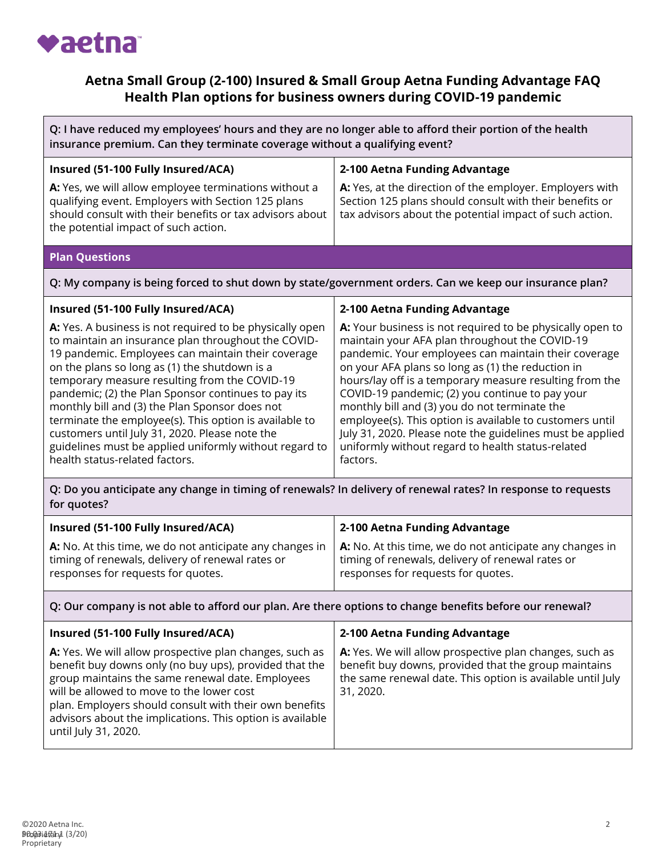

# **Aetna Small Group (2-100) Insured & Small Group Aetna Funding Advantage FAQ Health Plan options for business owners during COVID-19 pandemic**

| Q: I have reduced my employees' hours and they are no longer able to afford their portion of the health<br>insurance premium. Can they terminate coverage without a qualifying event?                                                                                                                                                                                                                                                                                                                                                                                                    |                                                                                                                                                                                                                                                                                                                                                                                                                                                                                                                                                                                   |  |
|------------------------------------------------------------------------------------------------------------------------------------------------------------------------------------------------------------------------------------------------------------------------------------------------------------------------------------------------------------------------------------------------------------------------------------------------------------------------------------------------------------------------------------------------------------------------------------------|-----------------------------------------------------------------------------------------------------------------------------------------------------------------------------------------------------------------------------------------------------------------------------------------------------------------------------------------------------------------------------------------------------------------------------------------------------------------------------------------------------------------------------------------------------------------------------------|--|
| Insured (51-100 Fully Insured/ACA)                                                                                                                                                                                                                                                                                                                                                                                                                                                                                                                                                       | 2-100 Aetna Funding Advantage                                                                                                                                                                                                                                                                                                                                                                                                                                                                                                                                                     |  |
| A: Yes, we will allow employee terminations without a<br>qualifying event. Employers with Section 125 plans<br>should consult with their benefits or tax advisors about<br>the potential impact of such action.                                                                                                                                                                                                                                                                                                                                                                          | A: Yes, at the direction of the employer. Employers with<br>Section 125 plans should consult with their benefits or<br>tax advisors about the potential impact of such action.                                                                                                                                                                                                                                                                                                                                                                                                    |  |
| <b>Plan Questions</b>                                                                                                                                                                                                                                                                                                                                                                                                                                                                                                                                                                    |                                                                                                                                                                                                                                                                                                                                                                                                                                                                                                                                                                                   |  |
| Q: My company is being forced to shut down by state/government orders. Can we keep our insurance plan?                                                                                                                                                                                                                                                                                                                                                                                                                                                                                   |                                                                                                                                                                                                                                                                                                                                                                                                                                                                                                                                                                                   |  |
| Insured (51-100 Fully Insured/ACA)                                                                                                                                                                                                                                                                                                                                                                                                                                                                                                                                                       | 2-100 Aetna Funding Advantage                                                                                                                                                                                                                                                                                                                                                                                                                                                                                                                                                     |  |
| A: Yes. A business is not required to be physically open<br>to maintain an insurance plan throughout the COVID-<br>19 pandemic. Employees can maintain their coverage<br>on the plans so long as (1) the shutdown is a<br>temporary measure resulting from the COVID-19<br>pandemic; (2) the Plan Sponsor continues to pay its<br>monthly bill and (3) the Plan Sponsor does not<br>terminate the employee(s). This option is available to<br>customers until July 31, 2020. Please note the<br>guidelines must be applied uniformly without regard to<br>health status-related factors. | A: Your business is not required to be physically open to<br>maintain your AFA plan throughout the COVID-19<br>pandemic. Your employees can maintain their coverage<br>on your AFA plans so long as (1) the reduction in<br>hours/lay off is a temporary measure resulting from the<br>COVID-19 pandemic; (2) you continue to pay your<br>monthly bill and (3) you do not terminate the<br>employee(s). This option is available to customers until<br>July 31, 2020. Please note the guidelines must be applied<br>uniformly without regard to health status-related<br>factors. |  |
| Q: Do you anticipate any change in timing of renewals? In delivery of renewal rates? In response to requests<br>for quotes?                                                                                                                                                                                                                                                                                                                                                                                                                                                              |                                                                                                                                                                                                                                                                                                                                                                                                                                                                                                                                                                                   |  |

| Insured (51-100 Fully Insured/ACA)                       | 2-100 Aetna Funding Advantage                            |
|----------------------------------------------------------|----------------------------------------------------------|
| A: No. At this time, we do not anticipate any changes in | A: No. At this time, we do not anticipate any changes in |
| timing of renewals, delivery of renewal rates or         | timing of renewals, delivery of renewal rates or         |
| responses for requests for quotes.                       | responses for requests for quotes.                       |

### **Q: Our company is not able to afford our plan. Are there options to change benefits before our renewal?**

| Insured (51-100 Fully Insured/ACA)                                                                                                                                                                                                                                                                                                                                | 2-100 Aetna Funding Advantage                                                                                                                                                              |
|-------------------------------------------------------------------------------------------------------------------------------------------------------------------------------------------------------------------------------------------------------------------------------------------------------------------------------------------------------------------|--------------------------------------------------------------------------------------------------------------------------------------------------------------------------------------------|
| A: Yes. We will allow prospective plan changes, such as<br>benefit buy downs only (no buy ups), provided that the<br>group maintains the same renewal date. Employees<br>will be allowed to move to the lower cost<br>plan. Employers should consult with their own benefits<br>advisors about the implications. This option is available<br>until July 31, 2020. | A: Yes. We will allow prospective plan changes, such as<br>benefit buy downs, provided that the group maintains<br>the same renewal date. This option is available until July<br>31, 2020. |